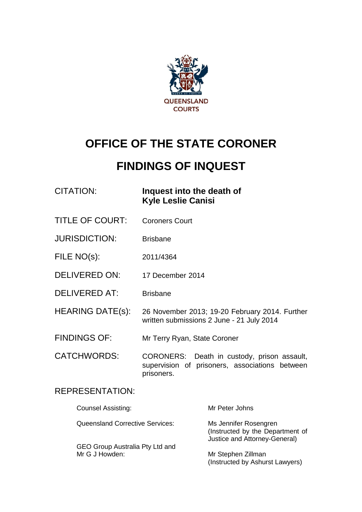

# **OFFICE OF THE STATE CORONER**

# **FINDINGS OF INQUEST**

| CITATION: | Inquest into the death of |
|-----------|---------------------------|
|           | <b>Kyle Leslie Canisi</b> |

- TITLE OF COURT: Coroners Court
- JURISDICTION: Brisbane
- FILE NO(s): 2011/4364
- DELIVERED ON: 17 December 2014
- DELIVERED AT: Brisbane
- HEARING DATE(s): 26 November 2013; 19-20 February 2014. Further written submissions 2 June - 21 July 2014
- FINDINGS OF: Mr Terry Ryan, State Coroner
- CATCHWORDS: CORONERS: Death in custody, prison assault, supervision of prisoners, associations between prisoners.

### REPRESENTATION:

| <b>Counsel Assisting:</b>                         | Mr Peter Johns                                                                             |
|---------------------------------------------------|--------------------------------------------------------------------------------------------|
| <b>Queensland Corrective Services:</b>            | Ms Jennifer Rosengren<br>(Instructed by the Department of<br>Justice and Attorney-General) |
| GEO Group Australia Pty Ltd and<br>Mr G J Howden: | Mr Stephen Zillman<br>(Instructed by Ashurst Lawyers)                                      |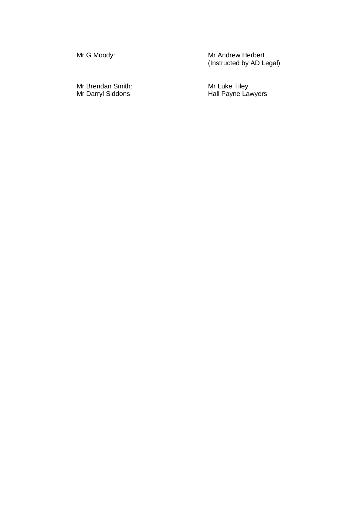Mr Brendan Smith:<br>Mr Darryl Siddons

Mr G Moody: The Mathematic Mr Andrew Herbert (Instructed by AD Legal)

Mr Luke Tiley<br>Hall Payne Lawyers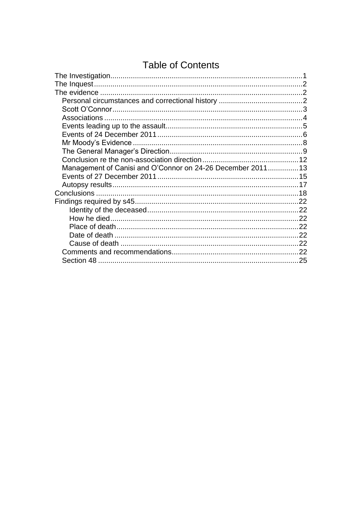# **Table of Contents**

| Management of Canisi and O'Connor on 24-26 December 2011 13 |  |
|-------------------------------------------------------------|--|
|                                                             |  |
|                                                             |  |
|                                                             |  |
|                                                             |  |
|                                                             |  |
|                                                             |  |
|                                                             |  |
|                                                             |  |
|                                                             |  |
|                                                             |  |
|                                                             |  |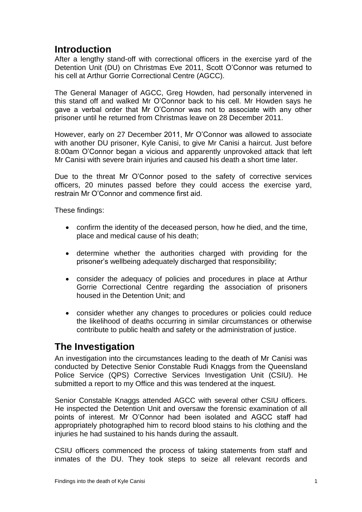## **Introduction**

After a lengthy stand-off with correctional officers in the exercise yard of the Detention Unit (DU) on Christmas Eve 2011, Scott O'Connor was returned to his cell at Arthur Gorrie Correctional Centre (AGCC).

The General Manager of AGCC, Greg Howden, had personally intervened in this stand off and walked Mr O'Connor back to his cell. Mr Howden says he gave a verbal order that Mr O'Connor was not to associate with any other prisoner until he returned from Christmas leave on 28 December 2011.

However, early on 27 December 2011, Mr O'Connor was allowed to associate with another DU prisoner, Kyle Canisi, to give Mr Canisi a haircut. Just before 8:00am O'Connor began a vicious and apparently unprovoked attack that left Mr Canisi with severe brain injuries and caused his death a short time later.

Due to the threat Mr O'Connor posed to the safety of corrective services officers, 20 minutes passed before they could access the exercise yard, restrain Mr O'Connor and commence first aid.

These findings:

- confirm the identity of the deceased person, how he died, and the time, place and medical cause of his death;
- determine whether the authorities charged with providing for the prisoner's wellbeing adequately discharged that responsibility;
- consider the adequacy of policies and procedures in place at Arthur Gorrie Correctional Centre regarding the association of prisoners housed in the Detention Unit; and
- consider whether any changes to procedures or policies could reduce the likelihood of deaths occurring in similar circumstances or otherwise contribute to public health and safety or the administration of justice.

## <span id="page-3-0"></span>**The Investigation**

An investigation into the circumstances leading to the death of Mr Canisi was conducted by Detective Senior Constable Rudi Knaggs from the Queensland Police Service (QPS) Corrective Services Investigation Unit (CSIU). He submitted a report to my Office and this was tendered at the inquest.

Senior Constable Knaggs attended AGCC with several other CSIU officers. He inspected the Detention Unit and oversaw the forensic examination of all points of interest. Mr O'Connor had been isolated and AGCC staff had appropriately photographed him to record blood stains to his clothing and the injuries he had sustained to his hands during the assault.

CSIU officers commenced the process of taking statements from staff and inmates of the DU. They took steps to seize all relevant records and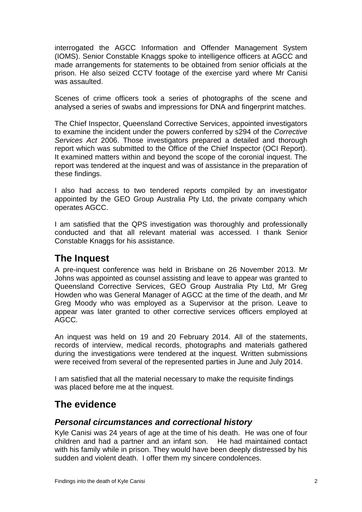interrogated the AGCC Information and Offender Management System (IOMS). Senior Constable Knaggs spoke to intelligence officers at AGCC and made arrangements for statements to be obtained from senior officials at the prison. He also seized CCTV footage of the exercise yard where Mr Canisi was assaulted.

Scenes of crime officers took a series of photographs of the scene and analysed a series of swabs and impressions for DNA and fingerprint matches.

The Chief Inspector, Queensland Corrective Services, appointed investigators to examine the incident under the powers conferred by s294 of the *Corrective Services Act* 2006. Those investigators prepared a detailed and thorough report which was submitted to the Office of the Chief Inspector (OCI Report). It examined matters within and beyond the scope of the coronial inquest. The report was tendered at the inquest and was of assistance in the preparation of these findings.

I also had access to two tendered reports compiled by an investigator appointed by the GEO Group Australia Pty Ltd, the private company which operates AGCC.

I am satisfied that the QPS investigation was thoroughly and professionally conducted and that all relevant material was accessed. I thank Senior Constable Knaggs for his assistance.

## <span id="page-4-0"></span>**The Inquest**

A pre-inquest conference was held in Brisbane on 26 November 2013. Mr Johns was appointed as counsel assisting and leave to appear was granted to Queensland Corrective Services, GEO Group Australia Pty Ltd, Mr Greg Howden who was General Manager of AGCC at the time of the death, and Mr Greg Moody who was employed as a Supervisor at the prison. Leave to appear was later granted to other corrective services officers employed at AGCC.

An inquest was held on 19 and 20 February 2014. All of the statements, records of interview, medical records, photographs and materials gathered during the investigations were tendered at the inquest. Written submissions were received from several of the represented parties in June and July 2014.

I am satisfied that all the material necessary to make the requisite findings was placed before me at the inquest.

## <span id="page-4-1"></span>**The evidence**

## <span id="page-4-2"></span>*Personal circumstances and correctional history*

Kyle Canisi was 24 years of age at the time of his death. He was one of four children and had a partner and an infant son. He had maintained contact with his family while in prison. They would have been deeply distressed by his sudden and violent death. I offer them my sincere condolences.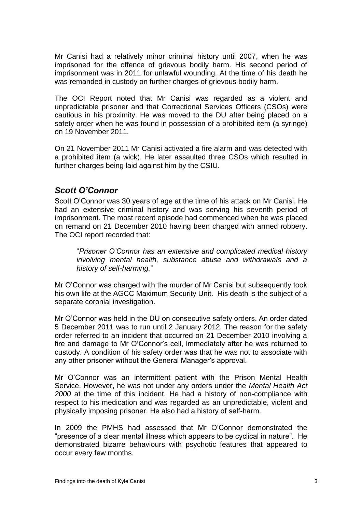Mr Canisi had a relatively minor criminal history until 2007, when he was imprisoned for the offence of grievous bodily harm. His second period of imprisonment was in 2011 for unlawful wounding. At the time of his death he was remanded in custody on further charges of grievous bodily harm.

The OCI Report noted that Mr Canisi was regarded as a violent and unpredictable prisoner and that Correctional Services Officers (CSOs) were cautious in his proximity. He was moved to the DU after being placed on a safety order when he was found in possession of a prohibited item (a syringe) on 19 November 2011.

On 21 November 2011 Mr Canisi activated a fire alarm and was detected with a prohibited item (a wick). He later assaulted three CSOs which resulted in further charges being laid against him by the CSIU.

## <span id="page-5-0"></span>*Scott O'Connor*

Scott O'Connor was 30 years of age at the time of his attack on Mr Canisi. He had an extensive criminal history and was serving his seventh period of imprisonment. The most recent episode had commenced when he was placed on remand on 21 December 2010 having been charged with armed robbery. The OCI report recorded that:

"*Prisoner O'Connor has an extensive and complicated medical history involving mental health, substance abuse and withdrawals and a history of self-harming.*"

Mr O'Connor was charged with the murder of Mr Canisi but subsequently took his own life at the AGCC Maximum Security Unit. His death is the subject of a separate coronial investigation.

Mr O'Connor was held in the DU on consecutive safety orders. An order dated 5 December 2011 was to run until 2 January 2012. The reason for the safety order referred to an incident that occurred on 21 December 2010 involving a fire and damage to Mr O'Connor's cell, immediately after he was returned to custody. A condition of his safety order was that he was not to associate with any other prisoner without the General Manager's approval.

Mr O'Connor was an intermittent patient with the Prison Mental Health Service. However, he was not under any orders under the *Mental Health Act 2000* at the time of this incident. He had a history of non-compliance with respect to his medication and was regarded as an unpredictable, violent and physically imposing prisoner. He also had a history of self-harm.

In 2009 the PMHS had assessed that Mr O'Connor demonstrated the "presence of a clear mental illness which appears to be cyclical in nature". He demonstrated bizarre behaviours with psychotic features that appeared to occur every few months.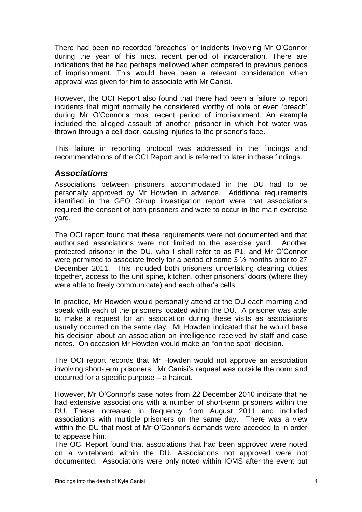There had been no recorded 'breaches' or incidents involving Mr O'Connor during the year of his most recent period of incarceration. There are indications that he had perhaps mellowed when compared to previous periods of imprisonment. This would have been a relevant consideration when approval was given for him to associate with Mr Canisi.

However, the OCI Report also found that there had been a failure to report incidents that might normally be considered worthy of note or even 'breach' during Mr O'Connor's most recent period of imprisonment. An example included the alleged assault of another prisoner in which hot water was thrown through a cell door, causing injuries to the prisoner's face.

This failure in reporting protocol was addressed in the findings and recommendations of the OCI Report and is referred to later in these findings.

### <span id="page-6-0"></span>*Associations*

Associations between prisoners accommodated in the DU had to be personally approved by Mr Howden in advance. Additional requirements identified in the GEO Group investigation report were that associations required the consent of both prisoners and were to occur in the main exercise yard.

The OCI report found that these requirements were not documented and that authorised associations were not limited to the exercise yard. Another protected prisoner in the DU, who I shall refer to as P1, and Mr O'Connor were permitted to associate freely for a period of some 3 ½ months prior to 27 December 2011. This included both prisoners undertaking cleaning duties together, access to the unit spine, kitchen, other prisoners' doors (where they were able to freely communicate) and each other's cells.

In practice, Mr Howden would personally attend at the DU each morning and speak with each of the prisoners located within the DU. A prisoner was able to make a request for an association during these visits as associations usually occurred on the same day. Mr Howden indicated that he would base his decision about an association on intelligence received by staff and case notes. On occasion Mr Howden would make an "on the spot" decision.

The OCI report records that Mr Howden would not approve an association involving short-term prisoners. Mr Canisi's request was outside the norm and occurred for a specific purpose – a haircut.

However, Mr O'Connor's case notes from 22 December 2010 indicate that he had extensive associations with a number of short-term prisoners within the DU. These increased in frequency from August 2011 and included associations with multiple prisoners on the same day. There was a view within the DU that most of Mr O'Connor's demands were acceded to in order to appease him.

The OCI Report found that associations that had been approved were noted on a whiteboard within the DU. Associations not approved were not documented. Associations were only noted within IOMS after the event but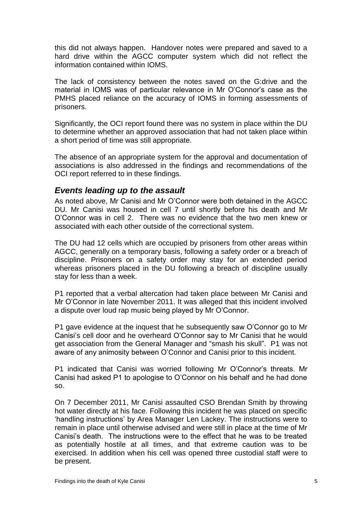this did not always happen. Handover notes were prepared and saved to a hard drive within the AGCC computer system which did not reflect the information contained within IOMS.

The lack of consistency between the notes saved on the G:drive and the material in IOMS was of particular relevance in Mr O'Connor's case as the PMHS placed reliance on the accuracy of IOMS in forming assessments of prisoners.

Significantly, the OCI report found there was no system in place within the DU to determine whether an approved association that had not taken place within a short period of time was still appropriate.

The absence of an appropriate system for the approval and documentation of associations is also addressed in the findings and recommendations of the OCI report referred to in these findings.

### <span id="page-7-0"></span>*Events leading up to the assault*

As noted above, Mr Canisi and Mr O'Connor were both detained in the AGCC DU. Mr Canisi was housed in cell 7 until shortly before his death and Mr O'Connor was in cell 2. There was no evidence that the two men knew or associated with each other outside of the correctional system.

The DU had 12 cells which are occupied by prisoners from other areas within AGCC, generally on a temporary basis, following a safety order or a breach of discipline. Prisoners on a safety order may stay for an extended period whereas prisoners placed in the DU following a breach of discipline usually stay for less than a week.

P1 reported that a verbal altercation had taken place between Mr Canisi and Mr O'Connor in late November 2011. It was alleged that this incident involved a dispute over loud rap music being played by Mr O'Connor.

P1 gave evidence at the inquest that he subsequently saw O'Connor go to Mr Canisi's cell door and he overheard O'Connor say to Mr Canisi that he would get association from the General Manager and "smash his skull". P1 was not aware of any animosity between O'Connor and Canisi prior to this incident.

P1 indicated that Canisi was worried following Mr O'Connor's threats. Mr Canisi had asked P1 to apologise to O'Connor on his behalf and he had done so.

On 7 December 2011, Mr Canisi assaulted CSO Brendan Smith by throwing hot water directly at his face. Following this incident he was placed on specific 'handling instructions' by Area Manager Len Lackey. The instructions were to remain in place until otherwise advised and were still in place at the time of Mr Canisi's death. The instructions were to the effect that he was to be treated as potentially hostile at all times, and that extreme caution was to be exercised. In addition when his cell was opened three custodial staff were to be present.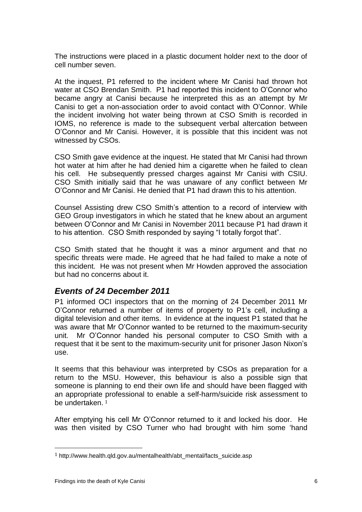The instructions were placed in a plastic document holder next to the door of cell number seven.

At the inquest, P1 referred to the incident where Mr Canisi had thrown hot water at CSO Brendan Smith. P1 had reported this incident to O'Connor who became angry at Canisi because he interpreted this as an attempt by Mr Canisi to get a non-association order to avoid contact with O'Connor. While the incident involving hot water being thrown at CSO Smith is recorded in IOMS, no reference is made to the subsequent verbal altercation between O'Connor and Mr Canisi. However, it is possible that this incident was not witnessed by CSOs.

CSO Smith gave evidence at the inquest. He stated that Mr Canisi had thrown hot water at him after he had denied him a cigarette when he failed to clean his cell. He subsequently pressed charges against Mr Canisi with CSIU. CSO Smith initially said that he was unaware of any conflict between Mr O'Connor and Mr Canisi. He denied that P1 had drawn this to his attention.

Counsel Assisting drew CSO Smith's attention to a record of interview with GEO Group investigators in which he stated that he knew about an argument between O'Connor and Mr Canisi in November 2011 because P1 had drawn it to his attention. CSO Smith responded by saying "I totally forgot that".

CSO Smith stated that he thought it was a minor argument and that no specific threats were made. He agreed that he had failed to make a note of this incident. He was not present when Mr Howden approved the association but had no concerns about it.

## <span id="page-8-0"></span>*Events of 24 December 2011*

P1 informed OCI inspectors that on the morning of 24 December 2011 Mr O'Connor returned a number of items of property to P1's cell, including a digital television and other items. In evidence at the inquest P1 stated that he was aware that Mr O'Connor wanted to be returned to the maximum-security unit. Mr O'Connor handed his personal computer to CSO Smith with a request that it be sent to the maximum-security unit for prisoner Jason Nixon's use.

It seems that this behaviour was interpreted by CSOs as preparation for a return to the MSU. However, this behaviour is also a possible sign that someone is planning to end their own life and should have been flagged with an appropriate professional to enable a self-harm/suicide risk assessment to be undertaken. 1

After emptying his cell Mr O'Connor returned to it and locked his door. He was then visited by CSO Turner who had brought with him some 'hand

 $\overline{a}$ 

<sup>1</sup> http://www.health.qld.gov.au/mentalhealth/abt\_mental/facts\_suicide.asp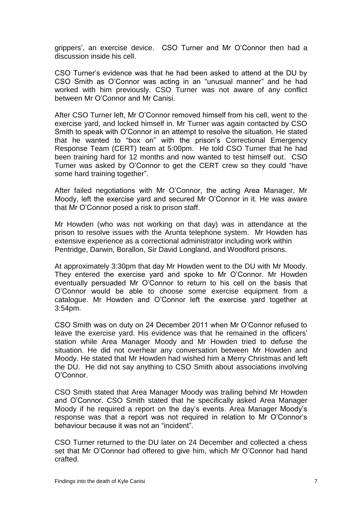grippers', an exercise device. CSO Turner and Mr O'Connor then had a discussion inside his cell.

CSO Turner's evidence was that he had been asked to attend at the DU by CSO Smith as O'Connor was acting in an "unusual manner" and he had worked with him previously. CSO Turner was not aware of any conflict between Mr O'Connor and Mr Canisi.

After CSO Turner left, Mr O'Connor removed himself from his cell, went to the exercise yard, and locked himself in. Mr Turner was again contacted by CSO Smith to speak with O'Connor in an attempt to resolve the situation. He stated that he wanted to "box on" with the prison's Correctional Emergency Response Team (CERT) team at 5:00pm. He told CSO Turner that he had been training hard for 12 months and now wanted to test himself out. CSO Turner was asked by O'Connor to get the CERT crew so they could "have some hard training together".

After failed negotiations with Mr O'Connor, the acting Area Manager, Mr Moody, left the exercise yard and secured Mr O'Connor in it. He was aware that Mr O'Connor posed a risk to prison staff.

Mr Howden (who was not working on that day) was in attendance at the prison to resolve issues with the Arunta telephone system. Mr Howden has extensive experience as a correctional administrator including work within Pentridge, Darwin, Borallon, Sir David Longland, and Woodford prisons.

At approximately 3:30pm that day Mr Howden went to the DU with Mr Moody. They entered the exercise yard and spoke to Mr O'Connor. Mr Howden eventually persuaded Mr O'Connor to return to his cell on the basis that O'Connor would be able to choose some exercise equipment from a catalogue. Mr Howden and O'Connor left the exercise yard together at 3:54pm.

CSO Smith was on duty on 24 December 2011 when Mr O'Connor refused to leave the exercise yard. His evidence was that he remained in the officers' station while Area Manager Moody and Mr Howden tried to defuse the situation. He did not overhear any conversation between Mr Howden and Moody. He stated that Mr Howden had wished him a Merry Christmas and left the DU. He did not say anything to CSO Smith about associations involving O'Connor.

CSO Smith stated that Area Manager Moody was trailing behind Mr Howden and O'Connor. CSO Smith stated that he specifically asked Area Manager Moody if he required a report on the day's events. Area Manager Moody's response was that a report was not required in relation to Mr O'Connor's behaviour because it was not an "incident".

CSO Turner returned to the DU later on 24 December and collected a chess set that Mr O'Connor had offered to give him, which Mr O'Connor had hand crafted.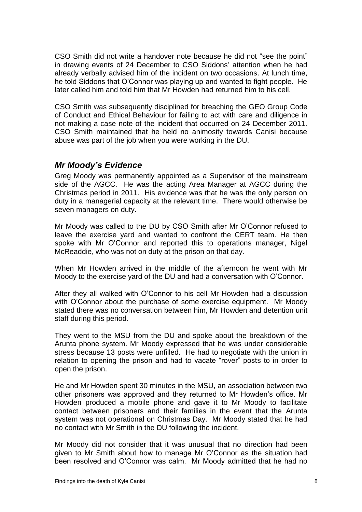CSO Smith did not write a handover note because he did not "see the point" in drawing events of 24 December to CSO Siddons' attention when he had already verbally advised him of the incident on two occasions. At lunch time, he told Siddons that O'Connor was playing up and wanted to fight people. He later called him and told him that Mr Howden had returned him to his cell.

CSO Smith was subsequently disciplined for breaching the GEO Group Code of Conduct and Ethical Behaviour for failing to act with care and diligence in not making a case note of the incident that occurred on 24 December 2011. CSO Smith maintained that he held no animosity towards Canisi because abuse was part of the job when you were working in the DU.

### <span id="page-10-0"></span>*Mr Moody's Evidence*

Greg Moody was permanently appointed as a Supervisor of the mainstream side of the AGCC. He was the acting Area Manager at AGCC during the Christmas period in 2011. His evidence was that he was the only person on duty in a managerial capacity at the relevant time. There would otherwise be seven managers on duty.

Mr Moody was called to the DU by CSO Smith after Mr O'Connor refused to leave the exercise yard and wanted to confront the CERT team. He then spoke with Mr O'Connor and reported this to operations manager, Nigel McReaddie, who was not on duty at the prison on that day.

When Mr Howden arrived in the middle of the afternoon he went with Mr Moody to the exercise yard of the DU and had a conversation with O'Connor.

After they all walked with O'Connor to his cell Mr Howden had a discussion with O'Connor about the purchase of some exercise equipment. Mr Moody stated there was no conversation between him, Mr Howden and detention unit staff during this period.

They went to the MSU from the DU and spoke about the breakdown of the Arunta phone system. Mr Moody expressed that he was under considerable stress because 13 posts were unfilled. He had to negotiate with the union in relation to opening the prison and had to vacate "rover" posts to in order to open the prison.

He and Mr Howden spent 30 minutes in the MSU, an association between two other prisoners was approved and they returned to Mr Howden's office. Mr Howden produced a mobile phone and gave it to Mr Moody to facilitate contact between prisoners and their families in the event that the Arunta system was not operational on Christmas Day. Mr Moody stated that he had no contact with Mr Smith in the DU following the incident.

Mr Moody did not consider that it was unusual that no direction had been given to Mr Smith about how to manage Mr O'Connor as the situation had been resolved and O'Connor was calm. Mr Moody admitted that he had no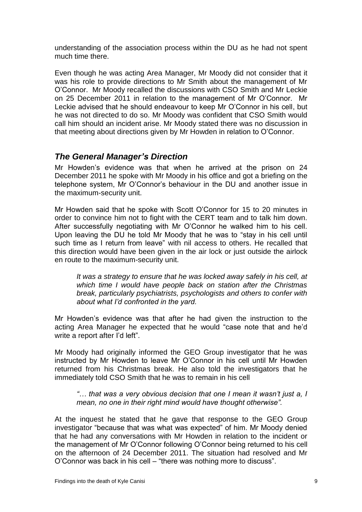understanding of the association process within the DU as he had not spent much time there.

Even though he was acting Area Manager, Mr Moody did not consider that it was his role to provide directions to Mr Smith about the management of Mr O'Connor. Mr Moody recalled the discussions with CSO Smith and Mr Leckie on 25 December 2011 in relation to the management of Mr O'Connor. Mr Leckie advised that he should endeavour to keep Mr O'Connor in his cell, but he was not directed to do so. Mr Moody was confident that CSO Smith would call him should an incident arise. Mr Moody stated there was no discussion in that meeting about directions given by Mr Howden in relation to O'Connor.

## <span id="page-11-0"></span>*The General Manager's Direction*

Mr Howden's evidence was that when he arrived at the prison on 24 December 2011 he spoke with Mr Moody in his office and got a briefing on the telephone system, Mr O'Connor's behaviour in the DU and another issue in the maximum-security unit.

Mr Howden said that he spoke with Scott O'Connor for 15 to 20 minutes in order to convince him not to fight with the CERT team and to talk him down. After successfully negotiating with Mr O'Connor he walked him to his cell. Upon leaving the DU he told Mr Moody that he was to "stay in his cell until such time as I return from leave" with nil access to others. He recalled that this direction would have been given in the air lock or just outside the airlock en route to the maximum-security unit.

*It was a strategy to ensure that he was locked away safely in his cell, at which time I would have people back on station after the Christmas break, particularly psychiatrists, psychologists and others to confer with about what I'd confronted in the yard.*

Mr Howden's evidence was that after he had given the instruction to the acting Area Manager he expected that he would "case note that and he'd write a report after I'd left".

Mr Moody had originally informed the GEO Group investigator that he was instructed by Mr Howden to leave Mr O'Connor in his cell until Mr Howden returned from his Christmas break. He also told the investigators that he immediately told CSO Smith that he was to remain in his cell

*"… that was a very obvious decision that one I mean it wasn't just a, I mean, no one in their right mind would have thought otherwise".* 

At the inquest he stated that he gave that response to the GEO Group investigator "because that was what was expected" of him. Mr Moody denied that he had any conversations with Mr Howden in relation to the incident or the management of Mr O'Connor following O'Connor being returned to his cell on the afternoon of 24 December 2011. The situation had resolved and Mr O'Connor was back in his cell – "there was nothing more to discuss".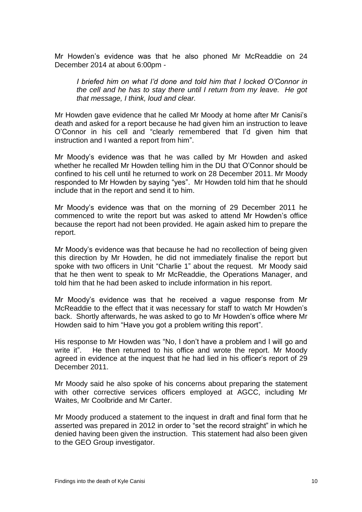Mr Howden's evidence was that he also phoned Mr McReaddie on 24 December 2014 at about 6:00pm -

*I briefed him on what I'd done and told him that I locked O'Connor in the cell and he has to stay there until I return from my leave. He got that message, I think, loud and clear.*

Mr Howden gave evidence that he called Mr Moody at home after Mr Canisi's death and asked for a report because he had given him an instruction to leave O'Connor in his cell and "clearly remembered that I'd given him that instruction and I wanted a report from him".

Mr Moody's evidence was that he was called by Mr Howden and asked whether he recalled Mr Howden telling him in the DU that O'Connor should be confined to his cell until he returned to work on 28 December 2011. Mr Moody responded to Mr Howden by saying "yes". Mr Howden told him that he should include that in the report and send it to him.

Mr Moody's evidence was that on the morning of 29 December 2011 he commenced to write the report but was asked to attend Mr Howden's office because the report had not been provided. He again asked him to prepare the report.

Mr Moody's evidence was that because he had no recollection of being given this direction by Mr Howden, he did not immediately finalise the report but spoke with two officers in Unit "Charlie 1" about the request. Mr Moody said that he then went to speak to Mr McReaddie, the Operations Manager, and told him that he had been asked to include information in his report.

Mr Moody's evidence was that he received a vague response from Mr McReaddie to the effect that it was necessary for staff to watch Mr Howden's back. Shortly afterwards, he was asked to go to Mr Howden's office where Mr Howden said to him "Have you got a problem writing this report".

His response to Mr Howden was "No, I don't have a problem and I will go and write it". He then returned to his office and wrote the report. Mr Moody agreed in evidence at the inquest that he had lied in his officer's report of 29 December 2011.

Mr Moody said he also spoke of his concerns about preparing the statement with other corrective services officers employed at AGCC, including Mr Waites, Mr Coolbride and Mr Carter.

Mr Moody produced a statement to the inquest in draft and final form that he asserted was prepared in 2012 in order to "set the record straight" in which he denied having been given the instruction. This statement had also been given to the GEO Group investigator.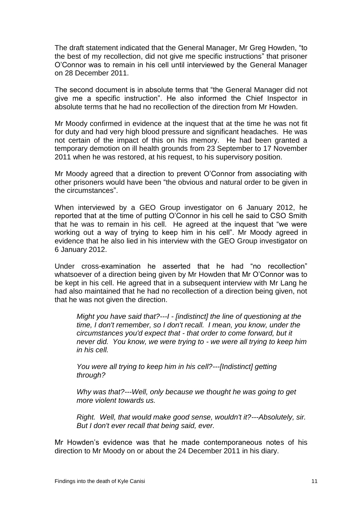The draft statement indicated that the General Manager, Mr Greg Howden, "to the best of my recollection, did not give me specific instructions" that prisoner O'Connor was to remain in his cell until interviewed by the General Manager on 28 December 2011.

The second document is in absolute terms that "the General Manager did not give me a specific instruction". He also informed the Chief Inspector in absolute terms that he had no recollection of the direction from Mr Howden.

Mr Moody confirmed in evidence at the inquest that at the time he was not fit for duty and had very high blood pressure and significant headaches. He was not certain of the impact of this on his memory. He had been granted a temporary demotion on ill health grounds from 23 September to 17 November 2011 when he was restored, at his request, to his supervisory position.

Mr Moody agreed that a direction to prevent O'Connor from associating with other prisoners would have been "the obvious and natural order to be given in the circumstances".

When interviewed by a GEO Group investigator on 6 January 2012, he reported that at the time of putting O'Connor in his cell he said to CSO Smith that he was to remain in his cell. He agreed at the inquest that "we were working out a way of trying to keep him in his cell". Mr Moody agreed in evidence that he also lied in his interview with the GEO Group investigator on 6 January 2012.

Under cross-examination he asserted that he had "no recollection" whatsoever of a direction being given by Mr Howden that Mr O'Connor was to be kept in his cell. He agreed that in a subsequent interview with Mr Lang he had also maintained that he had no recollection of a direction being given, not that he was not given the direction.

*Might you have said that?---I - [indistinct] the line of questioning at the time, I don't remember, so I don't recall. I mean, you know, under the circumstances you'd expect that - that order to come forward, but it never did. You know, we were trying to - we were all trying to keep him in his cell.*

*You were all trying to keep him in his cell?---[Indistinct] getting through?*

*Why was that?---Well, only because we thought he was going to get more violent towards us.*

*Right. Well, that would make good sense, wouldn't it?---Absolutely, sir. But I don't ever recall that being said, ever.*

Mr Howden's evidence was that he made contemporaneous notes of his direction to Mr Moody on or about the 24 December 2011 in his diary.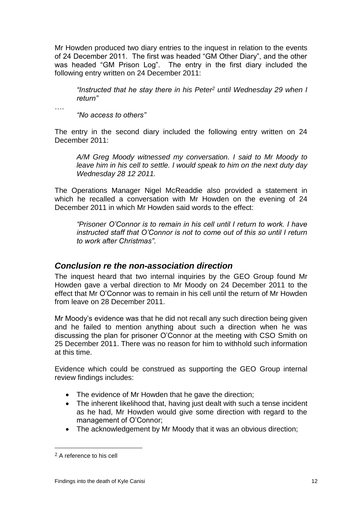Mr Howden produced two diary entries to the inquest in relation to the events of 24 December 2011. The first was headed "GM Other Diary", and the other was headed "GM Prison Log". The entry in the first diary included the following entry written on 24 December 2011:

*"Instructed that he stay there in his Peter<sup>2</sup> until Wednesday 29 when I return"*

….

*"No access to others"*

The entry in the second diary included the following entry written on 24 December 2011:

*A/M Greg Moody witnessed my conversation. I said to Mr Moody to leave him in his cell to settle. I would speak to him on the next duty day Wednesday 28 12 2011.*

The Operations Manager Nigel McReaddie also provided a statement in which he recalled a conversation with Mr Howden on the evening of 24 December 2011 in which Mr Howden said words to the effect:

*"Prisoner O'Connor is to remain in his cell until I return to work. I have instructed staff that O'Connor is not to come out of this so until I return to work after Christmas"*.

### <span id="page-14-0"></span>*Conclusion re the non-association direction*

The inquest heard that two internal inquiries by the GEO Group found Mr Howden gave a verbal direction to Mr Moody on 24 December 2011 to the effect that Mr O'Connor was to remain in his cell until the return of Mr Howden from leave on 28 December 2011.

Mr Moody's evidence was that he did not recall any such direction being given and he failed to mention anything about such a direction when he was discussing the plan for prisoner O'Connor at the meeting with CSO Smith on 25 December 2011. There was no reason for him to withhold such information at this time.

Evidence which could be construed as supporting the GEO Group internal review findings includes:

- The evidence of Mr Howden that he gave the direction;
- The inherent likelihood that, having just dealt with such a tense incident as he had, Mr Howden would give some direction with regard to the management of O'Connor;
- The acknowledgement by Mr Moody that it was an obvious direction;

 $\overline{a}$ 

<sup>2</sup> A reference to his cell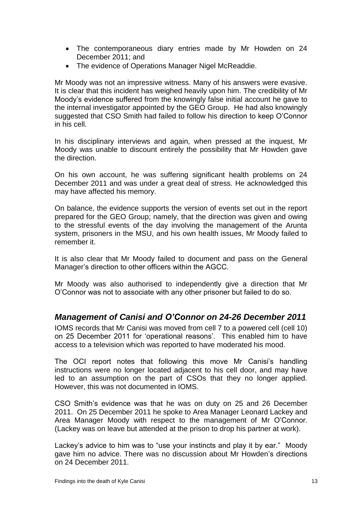- The contemporaneous diary entries made by Mr Howden on 24 December 2011; and
- The evidence of Operations Manager Nigel McReaddie.

Mr Moody was not an impressive witness. Many of his answers were evasive. It is clear that this incident has weighed heavily upon him. The credibility of Mr Moody's evidence suffered from the knowingly false initial account he gave to the internal investigator appointed by the GEO Group. He had also knowingly suggested that CSO Smith had failed to follow his direction to keep O'Connor in his cell.

In his disciplinary interviews and again, when pressed at the inquest, Mr Moody was unable to discount entirely the possibility that Mr Howden gave the direction.

On his own account, he was suffering significant health problems on 24 December 2011 and was under a great deal of stress. He acknowledged this may have affected his memory.

On balance, the evidence supports the version of events set out in the report prepared for the GEO Group; namely, that the direction was given and owing to the stressful events of the day involving the management of the Arunta system, prisoners in the MSU, and his own health issues, Mr Moody failed to remember it.

It is also clear that Mr Moody failed to document and pass on the General Manager's direction to other officers within the AGCC.

Mr Moody was also authorised to independently give a direction that Mr O'Connor was not to associate with any other prisoner but failed to do so.

## <span id="page-15-0"></span>*Management of Canisi and O'Connor on 24-26 December 2011*

IOMS records that Mr Canisi was moved from cell 7 to a powered cell (cell 10) on 25 December 2011 for 'operational reasons'. This enabled him to have access to a television which was reported to have moderated his mood.

The OCI report notes that following this move Mr Canisi's handling instructions were no longer located adjacent to his cell door, and may have led to an assumption on the part of CSOs that they no longer applied. However, this was not documented in IOMS.

CSO Smith's evidence was that he was on duty on 25 and 26 December 2011. On 25 December 2011 he spoke to Area Manager Leonard Lackey and Area Manager Moody with respect to the management of Mr O'Connor. (Lackey was on leave but attended at the prison to drop his partner at work).

Lackey's advice to him was to "use your instincts and play it by ear." Moody gave him no advice. There was no discussion about Mr Howden's directions on 24 December 2011.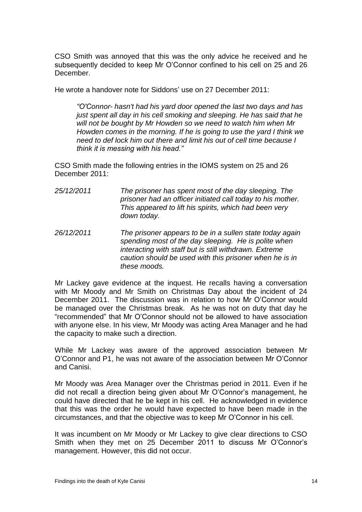CSO Smith was annoyed that this was the only advice he received and he subsequently decided to keep Mr O'Connor confined to his cell on 25 and 26 December.

He wrote a handover note for Siddons' use on 27 December 2011:

*"O'Connor- hasn't had his yard door opened the last two days and has just spent all day in his cell smoking and sleeping. He has said that he will not be bought by Mr Howden so we need to watch him when Mr Howden comes in the morning. If he is going to use the yard I think we need to def lock him out there and limit his out of cell time because I think it is messing with his head."*

CSO Smith made the following entries in the IOMS system on 25 and 26 December 2011:

- *25/12/2011 The prisoner has spent most of the day sleeping. The prisoner had an officer initiated call today to his mother. This appeared to lift his spirits, which had been very down today.*
- *26/12/2011 The prisoner appears to be in a sullen state today again spending most of the day sleeping. He is polite when interacting with staff but is still withdrawn. Extreme caution should be used with this prisoner when he is in these moods.*

Mr Lackey gave evidence at the inquest. He recalls having a conversation with Mr Moody and Mr Smith on Christmas Day about the incident of 24 December 2011. The discussion was in relation to how Mr O'Connor would be managed over the Christmas break. As he was not on duty that day he "recommended" that Mr O'Connor should not be allowed to have association with anyone else. In his view, Mr Moody was acting Area Manager and he had the capacity to make such a direction.

While Mr Lackey was aware of the approved association between Mr O'Connor and P1, he was not aware of the association between Mr O'Connor and Canisi.

Mr Moody was Area Manager over the Christmas period in 2011. Even if he did not recall a direction being given about Mr O'Connor's management, he could have directed that he be kept in his cell. He acknowledged in evidence that this was the order he would have expected to have been made in the circumstances, and that the objective was to keep Mr O'Connor in his cell.

It was incumbent on Mr Moody or Mr Lackey to give clear directions to CSO Smith when they met on 25 December 2011 to discuss Mr O'Connor's management. However, this did not occur.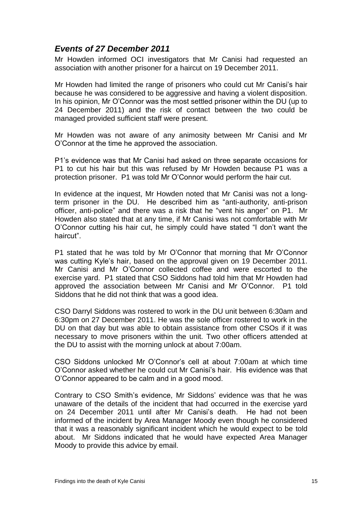## <span id="page-17-0"></span>*Events of 27 December 2011*

Mr Howden informed OCI investigators that Mr Canisi had requested an association with another prisoner for a haircut on 19 December 2011.

Mr Howden had limited the range of prisoners who could cut Mr Canisi's hair because he was considered to be aggressive and having a violent disposition. In his opinion, Mr O'Connor was the most settled prisoner within the DU (up to 24 December 2011) and the risk of contact between the two could be managed provided sufficient staff were present.

Mr Howden was not aware of any animosity between Mr Canisi and Mr O'Connor at the time he approved the association.

P1's evidence was that Mr Canisi had asked on three separate occasions for P1 to cut his hair but this was refused by Mr Howden because P1 was a protection prisoner. P1 was told Mr O'Connor would perform the hair cut.

In evidence at the inquest, Mr Howden noted that Mr Canisi was not a longterm prisoner in the DU. He described him as "anti-authority, anti-prison officer, anti-police" and there was a risk that he "vent his anger" on P1. Mr Howden also stated that at any time, if Mr Canisi was not comfortable with Mr O'Connor cutting his hair cut, he simply could have stated "I don't want the haircut".

P1 stated that he was told by Mr O'Connor that morning that Mr O'Connor was cutting Kyle's hair, based on the approval given on 19 December 2011. Mr Canisi and Mr O'Connor collected coffee and were escorted to the exercise yard. P1 stated that CSO Siddons had told him that Mr Howden had approved the association between Mr Canisi and Mr O'Connor. P1 told Siddons that he did not think that was a good idea.

CSO Darryl Siddons was rostered to work in the DU unit between 6:30am and 6:30pm on 27 December 2011. He was the sole officer rostered to work in the DU on that day but was able to obtain assistance from other CSOs if it was necessary to move prisoners within the unit. Two other officers attended at the DU to assist with the morning unlock at about 7:00am.

CSO Siddons unlocked Mr O'Connor's cell at about 7:00am at which time O'Connor asked whether he could cut Mr Canisi's hair. His evidence was that O'Connor appeared to be calm and in a good mood.

Contrary to CSO Smith's evidence, Mr Siddons' evidence was that he was unaware of the details of the incident that had occurred in the exercise yard on 24 December 2011 until after Mr Canisi's death. He had not been informed of the incident by Area Manager Moody even though he considered that it was a reasonably significant incident which he would expect to be told about. Mr Siddons indicated that he would have expected Area Manager Moody to provide this advice by email.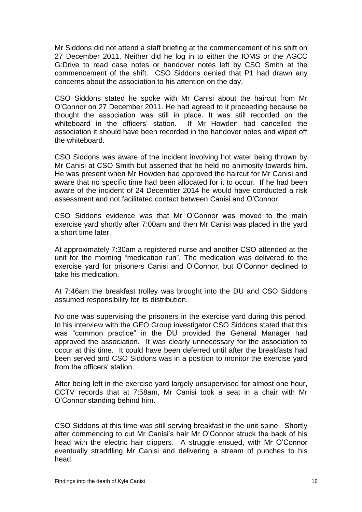Mr Siddons did not attend a staff briefing at the commencement of his shift on 27 December 2011. Neither did he log in to either the IOMS or the AGCC G:Drive to read case notes or handover notes left by CSO Smith at the commencement of the shift. CSO Siddons denied that P1 had drawn any concerns about the association to his attention on the day.

CSO Siddons stated he spoke with Mr Canisi about the haircut from Mr O'Connor on 27 December 2011. He had agreed to it proceeding because he thought the association was still in place. It was still recorded on the whiteboard in the officers' station. association it should have been recorded in the handover notes and wiped off the whiteboard.

CSO Siddons was aware of the incident involving hot water being thrown by Mr Canisi at CSO Smith but asserted that he held no animosity towards him. He was present when Mr Howden had approved the haircut for Mr Canisi and aware that no specific time had been allocated for it to occur. If he had been aware of the incident of 24 December 2014 he would have conducted a risk assessment and not facilitated contact between Canisi and O'Connor.

CSO Siddons evidence was that Mr O'Connor was moved to the main exercise yard shortly after 7:00am and then Mr Canisi was placed in the yard a short time later.

At approximately 7:30am a registered nurse and another CSO attended at the unit for the morning "medication run". The medication was delivered to the exercise yard for prisoners Canisi and O'Connor, but O'Connor declined to take his medication.

At 7:46am the breakfast trolley was brought into the DU and CSO Siddons assumed responsibility for its distribution.

No one was supervising the prisoners in the exercise yard during this period. In his interview with the GEO Group investigator CSO Siddons stated that this was "common practice" in the DU provided the General Manager had approved the association. It was clearly unnecessary for the association to occur at this time. It could have been deferred until after the breakfasts had been served and CSO Siddons was in a position to monitor the exercise yard from the officers' station.

After being left in the exercise yard largely unsupervised for almost one hour, CCTV records that at 7:58am, Mr Canisi took a seat in a chair with Mr O'Connor standing behind him.

CSO Siddons at this time was still serving breakfast in the unit spine. Shortly after commencing to cut Mr Canisi's hair Mr O'Connor struck the back of his head with the electric hair clippers. A struggle ensued, with Mr O'Connor eventually straddling Mr Canisi and delivering a stream of punches to his head.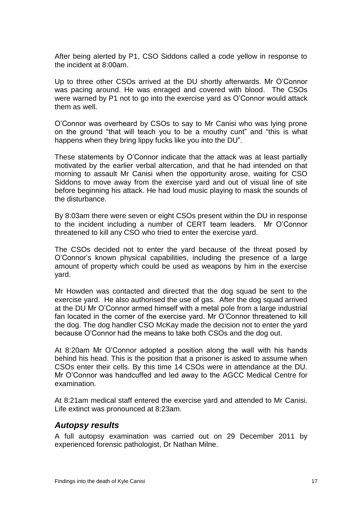After being alerted by P1, CSO Siddons called a code yellow in response to the incident at 8:00am.

Up to three other CSOs arrived at the DU shortly afterwards. Mr O'Connor was pacing around. He was enraged and covered with blood. The CSOs were warned by P1 not to go into the exercise yard as O'Connor would attack them as well.

O'Connor was overheard by CSOs to say to Mr Canisi who was lying prone on the ground "that will teach you to be a mouthy cunt" and "this is what happens when they bring lippy fucks like you into the DU".

These statements by O'Connor indicate that the attack was at least partially motivated by the earlier verbal altercation, and that he had intended on that morning to assault Mr Canisi when the opportunity arose, waiting for CSO Siddons to move away from the exercise yard and out of visual line of site before beginning his attack. He had loud music playing to mask the sounds of the disturbance.

By 8:03am there were seven or eight CSOs present within the DU in response to the incident including a number of CERT team leaders. Mr O'Connor threatened to kill any CSO who tried to enter the exercise yard.

The CSOs decided not to enter the yard because of the threat posed by O'Connor's known physical capabilities, including the presence of a large amount of property which could be used as weapons by him in the exercise yard.

Mr Howden was contacted and directed that the dog squad be sent to the exercise yard. He also authorised the use of gas. After the dog squad arrived at the DU Mr O'Connor armed himself with a metal pole from a large industrial fan located in the corner of the exercise yard. Mr O'Connor threatened to kill the dog. The dog handler CSO McKay made the decision not to enter the yard because O'Connor had the means to take both CSOs and the dog out.

At 8:20am Mr O'Connor adopted a position along the wall with his hands behind his head. This is the position that a prisoner is asked to assume when CSOs enter their cells. By this time 14 CSOs were in attendance at the DU. Mr O'Connor was handcuffed and led away to the AGCC Medical Centre for examination.

At 8:21am medical staff entered the exercise yard and attended to Mr Canisi. Life extinct was pronounced at 8:23am.

#### <span id="page-19-0"></span>*Autopsy results*

A full autopsy examination was carried out on 29 December 2011 by experienced forensic pathologist, Dr Nathan Milne.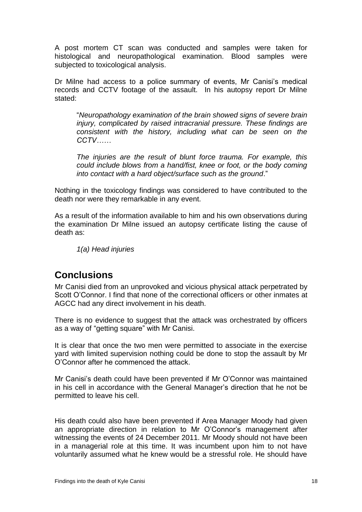A post mortem CT scan was conducted and samples were taken for histological and neuropathological examination. Blood samples were subjected to toxicological analysis.

Dr Milne had access to a police summary of events, Mr Canisi's medical records and CCTV footage of the assault. In his autopsy report Dr Milne stated:

"*Neuropathology examination of the brain showed signs of severe brain injury, complicated by raised intracranial pressure. These findings are consistent with the history, including what can be seen on the CCTV……*

*The injuries are the result of blunt force trauma. For example, this could include blows from a hand/fist, knee or foot, or the body coming into contact with a hard object/surface such as the ground*."

Nothing in the toxicology findings was considered to have contributed to the death nor were they remarkable in any event.

As a result of the information available to him and his own observations during the examination Dr Milne issued an autopsy certificate listing the cause of death as:

*1(a) Head injuries*

## <span id="page-20-0"></span>**Conclusions**

Mr Canisi died from an unprovoked and vicious physical attack perpetrated by Scott O'Connor. I find that none of the correctional officers or other inmates at AGCC had any direct involvement in his death.

There is no evidence to suggest that the attack was orchestrated by officers as a way of "getting square" with Mr Canisi.

It is clear that once the two men were permitted to associate in the exercise yard with limited supervision nothing could be done to stop the assault by Mr O'Connor after he commenced the attack.

Mr Canisi's death could have been prevented if Mr O'Connor was maintained in his cell in accordance with the General Manager's direction that he not be permitted to leave his cell.

His death could also have been prevented if Area Manager Moody had given an appropriate direction in relation to Mr O'Connor's management after witnessing the events of 24 December 2011. Mr Moody should not have been in a managerial role at this time. It was incumbent upon him to not have voluntarily assumed what he knew would be a stressful role. He should have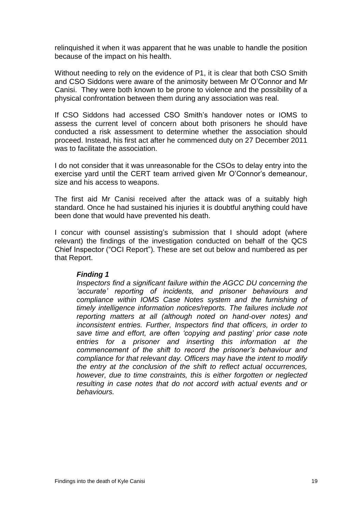relinquished it when it was apparent that he was unable to handle the position because of the impact on his health.

Without needing to rely on the evidence of P1, it is clear that both CSO Smith and CSO Siddons were aware of the animosity between Mr O'Connor and Mr Canisi. They were both known to be prone to violence and the possibility of a physical confrontation between them during any association was real.

If CSO Siddons had accessed CSO Smith's handover notes or IOMS to assess the current level of concern about both prisoners he should have conducted a risk assessment to determine whether the association should proceed. Instead, his first act after he commenced duty on 27 December 2011 was to facilitate the association.

I do not consider that it was unreasonable for the CSOs to delay entry into the exercise yard until the CERT team arrived given Mr O'Connor's demeanour, size and his access to weapons.

The first aid Mr Canisi received after the attack was of a suitably high standard. Once he had sustained his injuries it is doubtful anything could have been done that would have prevented his death.

I concur with counsel assisting's submission that I should adopt (where relevant) the findings of the investigation conducted on behalf of the QCS Chief Inspector ("OCI Report"). These are set out below and numbered as per that Report.

#### *Finding 1*

*Inspectors find a significant failure within the AGCC DU concerning the 'accurate' reporting of incidents, and prisoner behaviours and compliance within IOMS Case Notes system and the furnishing of timely intelligence information notices/reports. The failures include not reporting matters at all (although noted on hand-over notes) and inconsistent entries. Further, Inspectors find that officers, in order to save time and effort, are often 'copying and pasting' prior case note entries for a prisoner and inserting this information at the commencement of the shift to record the prisoner's behaviour and compliance for that relevant day. Officers may have the intent to modify the entry at the conclusion of the shift to reflect actual occurrences, however, due to time constraints, this is either forgotten or neglected resulting in case notes that do not accord with actual events and or behaviours.*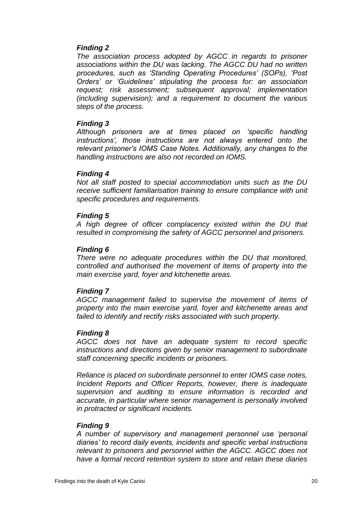#### *Finding 2*

*The association process adopted by AGCC in regards to prisoner associations within the DU was lacking. The AGCC DU had no written procedures, such as 'Standing Operating Procedures' (SOPs), 'Post Orders' or 'Guidelines' stipulating the process for: an association request; risk assessment; subsequent approval; implementation (including supervision); and a requirement to document the various steps of the process.*

#### *Finding 3*

*Although prisoners are at times placed on 'specific handling instructions', those instructions are not always entered onto the relevant prisoner's IOMS Case Notes. Additionally, any changes to the handling instructions are also not recorded on IOMS.*

#### *Finding 4*

*Not all staff posted to special accommodation units such as the DU receive sufficient familiarisation training to ensure compliance with unit specific procedures and requirements.*

#### *Finding 5*

*A high degree of officer complacency existed within the DU that resulted in compromising the safety of AGCC personnel and prisoners.*

#### *Finding 6*

*There were no adequate procedures within the DU that monitored, controlled and authorised the movement of items of property into the main exercise yard, foyer and kitchenette areas.*

### *Finding 7*

*AGCC management failed to supervise the movement of items of property into the main exercise yard, foyer and kitchenette areas and failed to identify and rectify risks associated with such property.*

#### *Finding 8*

*AGCC does not have an adequate system to record specific instructions and directions given by senior management to subordinate staff concerning specific incidents or prisoners.*

*Reliance is placed on subordinate personnel to enter IOMS case notes, Incident Reports and Officer Reports, however, there is inadequate supervision and auditing to ensure information is recorded and accurate, in particular where senior management is personally involved in protracted or significant incidents.*

#### *Finding 9*

*A number of supervisory and management personnel use 'personal diaries' to record daily events, incidents and specific verbal instructions relevant to prisoners and personnel within the AGCC. AGCC does not have a formal record retention system to store and retain these diaries*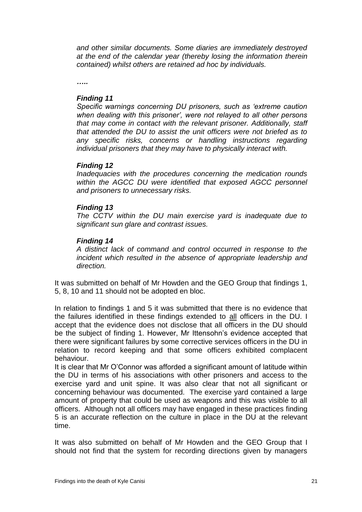*and other similar documents. Some diaries are immediately destroyed at the end of the calendar year (thereby losing the information therein contained) whilst others are retained ad hoc by individuals.*

*…..*

#### *Finding 11*

*Specific warnings concerning DU prisoners, such as 'extreme caution when dealing with this prisoner', were not relayed to all other persons that may come in contact with the relevant prisoner. Additionally, staff that attended the DU to assist the unit officers were not briefed as to any specific risks, concerns or handling instructions regarding individual prisoners that they may have to physically interact with.*

#### *Finding 12*

*Inadequacies with the procedures concerning the medication rounds within the AGCC DU were identified that exposed AGCC personnel and prisoners to unnecessary risks.*

#### *Finding 13*

*The CCTV within the DU main exercise yard is inadequate due to significant sun glare and contrast issues.*

#### *Finding 14*

*A distinct lack of command and control occurred in response to the incident which resulted in the absence of appropriate leadership and direction.*

It was submitted on behalf of Mr Howden and the GEO Group that findings 1, 5, 8, 10 and 11 should not be adopted en bloc.

In relation to findings 1 and 5 it was submitted that there is no evidence that the failures identified in these findings extended to all officers in the DU. I accept that the evidence does not disclose that all officers in the DU should be the subject of finding 1. However, Mr Ittensohn's evidence accepted that there were significant failures by some corrective services officers in the DU in relation to record keeping and that some officers exhibited complacent behaviour.

It is clear that Mr O'Connor was afforded a significant amount of latitude within the DU in terms of his associations with other prisoners and access to the exercise yard and unit spine. It was also clear that not all significant or concerning behaviour was documented. The exercise yard contained a large amount of property that could be used as weapons and this was visible to all officers. Although not all officers may have engaged in these practices finding 5 is an accurate reflection on the culture in place in the DU at the relevant time.

It was also submitted on behalf of Mr Howden and the GEO Group that I should not find that the system for recording directions given by managers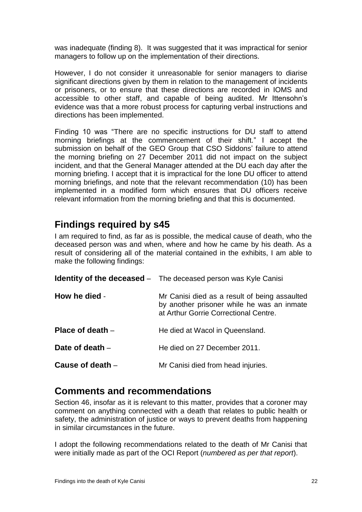was inadequate (finding 8). It was suggested that it was impractical for senior managers to follow up on the implementation of their directions.

However, I do not consider it unreasonable for senior managers to diarise significant directions given by them in relation to the management of incidents or prisoners, or to ensure that these directions are recorded in IOMS and accessible to other staff, and capable of being audited. Mr Ittensohn's evidence was that a more robust process for capturing verbal instructions and directions has been implemented.

Finding 10 was "There are no specific instructions for DU staff to attend morning briefings at the commencement of their shift." I accept the submission on behalf of the GEO Group that CSO Siddons' failure to attend the morning briefing on 27 December 2011 did not impact on the subject incident, and that the General Manager attended at the DU each day after the morning briefing. I accept that it is impractical for the lone DU officer to attend morning briefings, and note that the relevant recommendation (10) has been implemented in a modified form which ensures that DU officers receive relevant information from the morning briefing and that this is documented.

## <span id="page-24-0"></span>**Findings required by s45**

I am required to find, as far as is possible, the medical cause of death, who the deceased person was and when, where and how he came by his death. As a result of considering all of the material contained in the exhibits, I am able to make the following findings:

<span id="page-24-3"></span><span id="page-24-2"></span><span id="page-24-1"></span>

|                    | <b>Identity of the deceased</b> - The deceased person was Kyle Canisi                                                                |
|--------------------|--------------------------------------------------------------------------------------------------------------------------------------|
| How he died -      | Mr Canisi died as a result of being assaulted<br>by another prisoner while he was an inmate<br>at Arthur Gorrie Correctional Centre. |
| Place of death $-$ | He died at Wacol in Queensland.                                                                                                      |
| Date of death $-$  | He died on 27 December 2011.                                                                                                         |
| Cause of death $-$ | Mr Canisi died from head injuries.                                                                                                   |

## <span id="page-24-6"></span><span id="page-24-5"></span><span id="page-24-4"></span>**Comments and recommendations**

Section 46, insofar as it is relevant to this matter, provides that a coroner may comment on anything connected with a death that relates to public health or safety, the administration of justice or ways to prevent deaths from happening in similar circumstances in the future.

I adopt the following recommendations related to the death of Mr Canisi that were initially made as part of the OCI Report (*numbered as per that report*).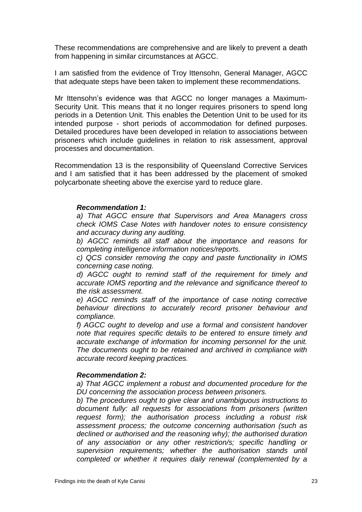These recommendations are comprehensive and are likely to prevent a death from happening in similar circumstances at AGCC.

I am satisfied from the evidence of Troy Ittensohn, General Manager, AGCC that adequate steps have been taken to implement these recommendations.

Mr Ittensohn's evidence was that AGCC no longer manages a Maximum-Security Unit. This means that it no longer requires prisoners to spend long periods in a Detention Unit. This enables the Detention Unit to be used for its intended purpose - short periods of accommodation for defined purposes. Detailed procedures have been developed in relation to associations between prisoners which include guidelines in relation to risk assessment, approval processes and documentation.

Recommendation 13 is the responsibility of Queensland Corrective Services and I am satisfied that it has been addressed by the placement of smoked polycarbonate sheeting above the exercise yard to reduce glare.

#### *Recommendation 1:*

*a) That AGCC ensure that Supervisors and Area Managers cross check IOMS Case Notes with handover notes to ensure consistency and accuracy during any auditing.*

*b) AGCC reminds all staff about the importance and reasons for completing intelligence information notices/reports.*

*c) QCS consider removing the copy and paste functionality in IOMS concerning case noting.*

*d) AGCC ought to remind staff of the requirement for timely and accurate IOMS reporting and the relevance and significance thereof to the risk assessment.*

*e) AGCC reminds staff of the importance of case noting corrective behaviour directions to accurately record prisoner behaviour and compliance.*

*f) AGCC ought to develop and use a formal and consistent handover note that requires specific details to be entered to ensure timely and accurate exchange of information for incoming personnel for the unit. The documents ought to be retained and archived in compliance with accurate record keeping practices.*

#### *Recommendation 2:*

*a) That AGCC implement a robust and documented procedure for the DU concerning the association process between prisoners.*

*b) The procedures ought to give clear and unambiguous instructions to document fully: all requests for associations from prisoners (written request form); the authorisation process including a robust risk assessment process; the outcome concerning authorisation (such as declined or authorised and the reasoning why); the authorised duration of any association or any other restriction/s; specific handling or supervision requirements; whether the authorisation stands until completed or whether it requires daily renewal (complemented by a*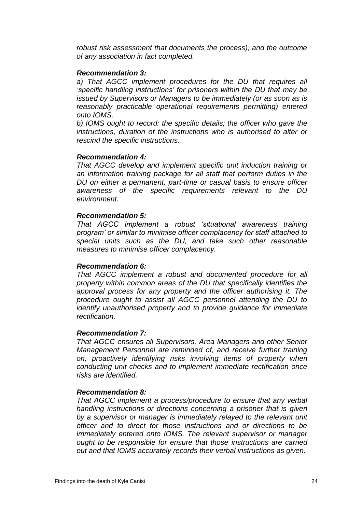*robust risk assessment that documents the process); and the outcome of any association in fact completed.*

#### *Recommendation 3:*

*a) That AGCC implement procedures for the DU that requires all 'specific handling instructions' for prisoners within the DU that may be issued by Supervisors or Managers to be immediately (or as soon as is reasonably practicable operational requirements permitting) entered onto IOMS.*

*b) IOMS ought to record: the specific details; the officer who gave the instructions, duration of the instructions who is authorised to alter or rescind the specific instructions.*

#### *Recommendation 4:*

*That AGCC develop and implement specific unit induction training or an information training package for all staff that perform duties in the DU on either a permanent, part-time or casual basis to ensure officer awareness of the specific requirements relevant to the DU environment.*

#### *Recommendation 5:*

*That AGCC implement a robust 'situational awareness training program' or similar to minimise officer complacency for staff attached to special units such as the DU, and take such other reasonable measures to minimise officer complacency.*

#### *Recommendation 6:*

*That AGCC implement a robust and documented procedure for all property within common areas of the DU that specifically identifies the approval process for any property and the officer authorising it. The procedure ought to assist all AGCC personnel attending the DU to identify unauthorised property and to provide guidance for immediate rectification.*

#### *Recommendation 7:*

*That AGCC ensures all Supervisors, Area Managers and other Senior Management Personnel are reminded of, and receive further training on, proactively identifying risks involving items of property when conducting unit checks and to implement immediate rectification once risks are identified.*

#### *Recommendation 8:*

*That AGCC implement a process/procedure to ensure that any verbal handling instructions or directions concerning a prisoner that is given by a supervisor or manager is immediately relayed to the relevant unit officer and to direct for those instructions and or directions to be immediately entered onto IOMS. The relevant supervisor or manager ought to be responsible for ensure that those instructions are carried out and that IOMS accurately records their verbal instructions as given.*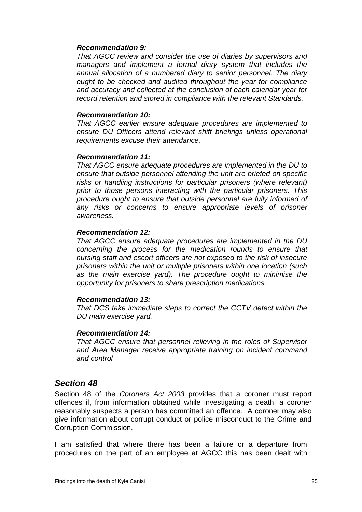#### *Recommendation 9:*

*That AGCC review and consider the use of diaries by supervisors and managers and implement a formal diary system that includes the annual allocation of a numbered diary to senior personnel. The diary ought to be checked and audited throughout the year for compliance and accuracy and collected at the conclusion of each calendar year for record retention and stored in compliance with the relevant Standards.*

#### *Recommendation 10:*

*That AGCC earlier ensure adequate procedures are implemented to ensure DU Officers attend relevant shift briefings unless operational requirements excuse their attendance.*

#### *Recommendation 11:*

*That AGCC ensure adequate procedures are implemented in the DU to ensure that outside personnel attending the unit are briefed on specific*  risks or handling instructions for particular prisoners (where relevant) *prior to those persons interacting with the particular prisoners. This procedure ought to ensure that outside personnel are fully informed of any risks or concerns to ensure appropriate levels of prisoner awareness.*

#### *Recommendation 12:*

*That AGCC ensure adequate procedures are implemented in the DU concerning the process for the medication rounds to ensure that nursing staff and escort officers are not exposed to the risk of insecure prisoners within the unit or multiple prisoners within one location (such as the main exercise yard). The procedure ought to minimise the opportunity for prisoners to share prescription medications.*

#### *Recommendation 13:*

*That DCS take immediate steps to correct the CCTV defect within the DU main exercise yard.*

#### *Recommendation 14:*

*That AGCC ensure that personnel relieving in the roles of Supervisor and Area Manager receive appropriate training on incident command and control*

#### <span id="page-27-0"></span>*Section 48*

Section 48 of the *Coroners Act 2003* provides that a coroner must report offences if, from information obtained while investigating a death, a coroner reasonably suspects a person has committed an offence. A coroner may also give information about corrupt conduct or police misconduct to the Crime and Corruption Commission.

I am satisfied that where there has been a failure or a departure from procedures on the part of an employee at AGCC this has been dealt with